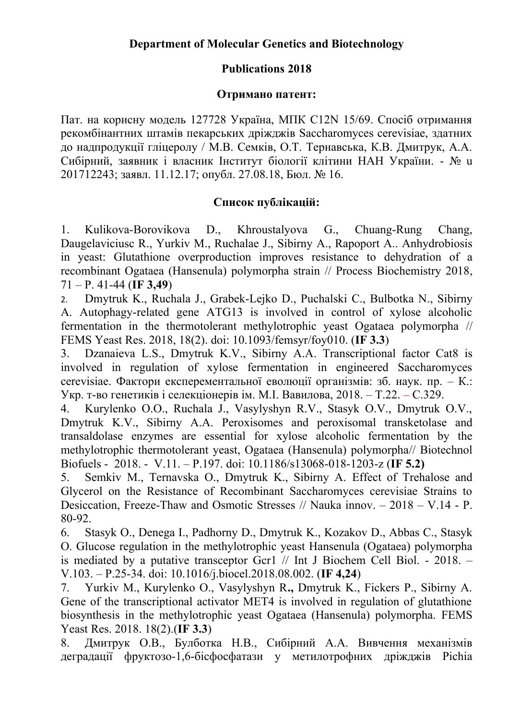## **Publications 2018**

## **Отримано патент:**

Пат. на корисну модель 127728 Україна, МПК C12N 15/69. Спосіб отримання рекомбінантних штамів пекарських дріжджів Saccharomyces cerevisiae, здатних до надпродукції гліцеролу / М.В. Семків, О.Т. Тернавська, К.В. Дмитрук, А.А. Сибірний, заявник і власник Інститут біології клітини НАН України. - № u 201712243; заявл. 11.12.17; опубл. 27.08.18, Бюл. № 16.

## **Список публікацій:**

1. Kulikova-Borovikova D., Khroustalyova G., Chuang-Rung Chang, Daugelaviciusc R., Yurkiv M., Ruchalae J., Sibirny A., Rapoport A.. Anhydrobiosis in yeast: Glutathione overproduction improves resistance to dehydration of a recombinant Ogataea (Hansenula) polymorpha strain // Process Biochemistry 2018, 71 – Р. 41-44 (**IF 3,49**)

2. Dmytruk K., Ruchala J., Grabek-Lejko D., Puchalski C., Bulbotka N., Sibirny A. Autophagy-related gene ATG13 is involved in control of xylose alcoholic fermentation in the thermotolerant methylotrophic yeast Ogataea polymorpha // FEMS Yeast Res. 2018, 18(2). doi: 10.1093/femsyr/foy010. (**IF 3.3**)

3. Dzanaieva L.S., Dmytruk K.V., Sibirny A.A. Transcriptional factor Cat8 is involved in regulation of xylose fermentation in engineered Saccharomyces cerevisiae. Фактори експерементальної еволюції організмів: зб. наук. пр. – К.: Укр. т-во генетиків і селекціонерів ім. М.І. Вавилова, 2018. – Т.22. – С.329.

4. Kurylenko O.O., Ruchala J., Vasylyshyn R.V., Stasyk O.V., Dmytruk O.V., Dmytruk K.V., Sibirny A.A. Peroxisomes and peroxisomal transketolase and transaldolase enzymes are essential for xylose alcoholic fermentation by the methylotrophic thermotolerant yeast, Ogataea (Hansenula) polymorpha// Biotechnol Biofuels - 2018. - V.11. – P.197. doi: 10.1186/s13068-018-1203-z (**IF 5.2)**

5. Semkiv M., Ternavska O., Dmytruk K., Sibirny A. Effect of Trehalose and Glycerol on the Resistance of Recombinant Saccharomyces cerevisiae Strains to Desiccation, Freeze-Thaw and Osmotic Stresses // Nauka innov. – 2018 – V.14 - P. 80-92.

6. Stasyk O., Denega I., Padhorny D., Dmytruk K., Kozakov D., Abbas C., Stasyk O. Glucose regulation in the methylotrophic yeast Hansenula (Ogataea) polymorpha is mediated by a putative transceptor Gcr1 // Int J Biochem Cell Biol. - 2018. – V.103. – P.25-34. doi: 10.1016/j.biocel.2018.08.002. (**IF 4,24**)

7. Yurkiv M., Kurylenko O., Vasylyshyn R**.,** Dmytruk K., Fickers P., Sibirny A. Gene of the transcriptional activator MET4 is involved in regulation of glutathione biosynthesis in the methylotrophic yeast Ogataea (Hansenula) polymorpha. FEMS Yeast Res. 2018. 18(2).(**IF 3.3**)

8. Дмитрук О.В., Булботка Н.В., Сибірний А.А. Вивчення механізмів деградації фруктозо-1,6-бісфосфатази у метилотрофних дріжджів Pichia